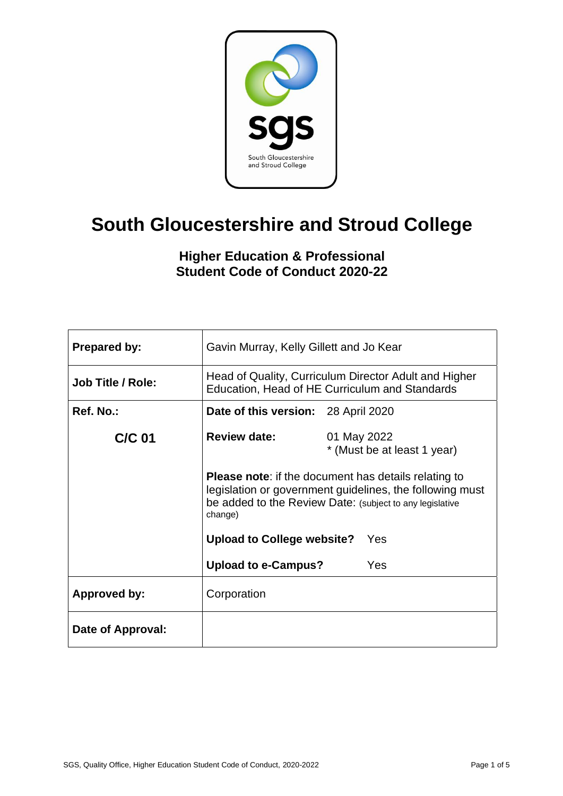

# **South Gloucestershire and Stroud College**

**Higher Education & Professional Student Code of Conduct 2020-22**

| <b>Prepared by:</b>      | Gavin Murray, Kelly Gillett and Jo Kear                                                                                                                                                        |             |                             |
|--------------------------|------------------------------------------------------------------------------------------------------------------------------------------------------------------------------------------------|-------------|-----------------------------|
| <b>Job Title / Role:</b> | Head of Quality, Curriculum Director Adult and Higher<br>Education, Head of HE Curriculum and Standards                                                                                        |             |                             |
| Ref. No.:                | <b>Date of this version:</b> 28 April 2020                                                                                                                                                     |             |                             |
| $C/C$ 01                 | <b>Review date:</b>                                                                                                                                                                            | 01 May 2022 | * (Must be at least 1 year) |
|                          | <b>Please note:</b> if the document has details relating to<br>legislation or government guidelines, the following must<br>be added to the Review Date: (subject to any legislative<br>change) |             |                             |
|                          | <b>Upload to College website?</b>                                                                                                                                                              |             | Yes                         |
|                          | <b>Upload to e-Campus?</b>                                                                                                                                                                     |             | Yes                         |
| <b>Approved by:</b>      | Corporation                                                                                                                                                                                    |             |                             |
| Date of Approval:        |                                                                                                                                                                                                |             |                             |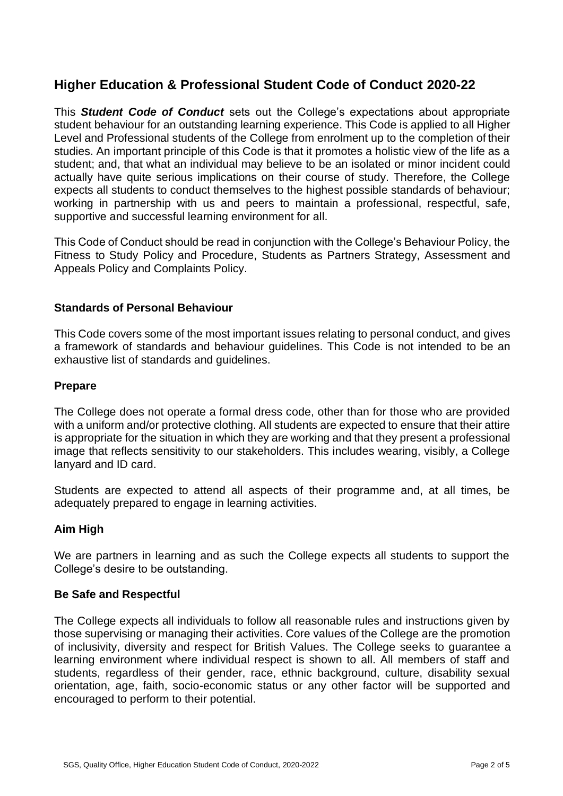# **Higher Education & Professional Student Code of Conduct 2020-22**

This *Student Code of Conduct* sets out the College's expectations about appropriate student behaviour for an outstanding learning experience. This Code is applied to all Higher Level and Professional students of the College from enrolment up to the completion of their studies. An important principle of this Code is that it promotes a holistic view of the life as a student; and, that what an individual may believe to be an isolated or minor incident could actually have quite serious implications on their course of study. Therefore, the College expects all students to conduct themselves to the highest possible standards of behaviour; working in partnership with us and peers to maintain a professional, respectful, safe, supportive and successful learning environment for all.

This Code of Conduct should be read in conjunction with the College's Behaviour Policy, the Fitness to Study Policy and Procedure, Students as Partners Strategy, Assessment and Appeals Policy and Complaints Policy.

## **Standards of Personal Behaviour**

This Code covers some of the most important issues relating to personal conduct, and gives a framework of standards and behaviour guidelines. This Code is not intended to be an exhaustive list of standards and guidelines.

#### **Prepare**

The College does not operate a formal dress code, other than for those who are provided with a uniform and/or protective clothing. All students are expected to ensure that their attire is appropriate for the situation in which they are working and that they present a professional image that reflects sensitivity to our stakeholders. This includes wearing, visibly, a College lanyard and ID card.

Students are expected to attend all aspects of their programme and, at all times, be adequately prepared to engage in learning activities.

#### **Aim High**

We are partners in learning and as such the College expects all students to support the College's desire to be outstanding.

#### **Be Safe and Respectful**

The College expects all individuals to follow all reasonable rules and instructions given by those supervising or managing their activities. Core values of the College are the promotion of inclusivity, diversity and respect for British Values. The College seeks to guarantee a learning environment where individual respect is shown to all. All members of staff and students, regardless of their gender, race, ethnic background, culture, disability sexual orientation, age, faith, socio-economic status or any other factor will be supported and encouraged to perform to their potential.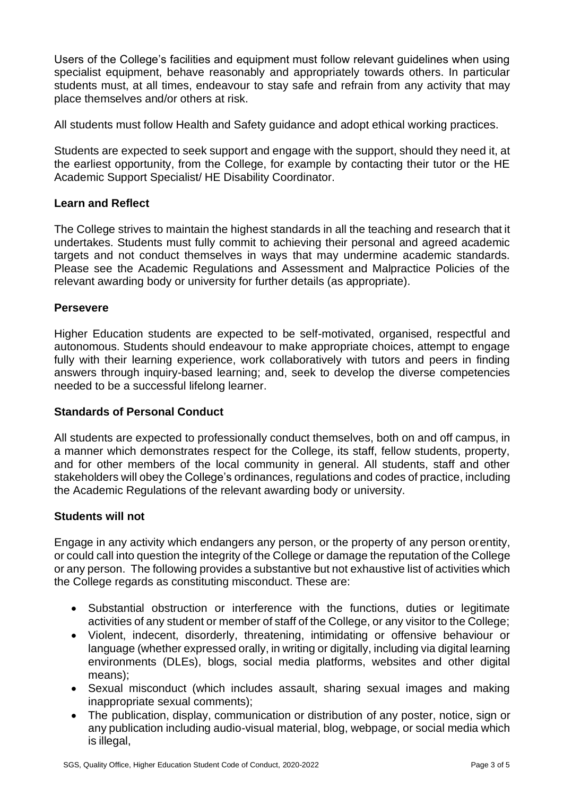Users of the College's facilities and equipment must follow relevant guidelines when using specialist equipment, behave reasonably and appropriately towards others. In particular students must, at all times, endeavour to stay safe and refrain from any activity that may place themselves and/or others at risk.

All students must follow Health and Safety guidance and adopt ethical working practices.

Students are expected to seek support and engage with the support, should they need it, at the earliest opportunity, from the College, for example by contacting their tutor or the HE Academic Support Specialist/ HE Disability Coordinator.

#### **Learn and Reflect**

The College strives to maintain the highest standards in all the teaching and research that it undertakes. Students must fully commit to achieving their personal and agreed academic targets and not conduct themselves in ways that may undermine academic standards. Please see the Academic Regulations and Assessment and Malpractice Policies of the relevant awarding body or university for further details (as appropriate).

#### **Persevere**

Higher Education students are expected to be self-motivated, organised, respectful and autonomous. Students should endeavour to make appropriate choices, attempt to engage fully with their learning experience, work collaboratively with tutors and peers in finding answers through inquiry-based learning; and, seek to develop the diverse competencies needed to be a successful lifelong learner.

#### **Standards of Personal Conduct**

All students are expected to professionally conduct themselves, both on and off campus, in a manner which demonstrates respect for the College, its staff, fellow students, property, and for other members of the local community in general. All students, staff and other stakeholders will obey the College's ordinances, regulations and codes of practice, including the Academic Regulations of the relevant awarding body or university.

#### **Students will not**

Engage in any activity which endangers any person, or the property of any person orentity, or could call into question the integrity of the College or damage the reputation of the College or any person. The following provides a substantive but not exhaustive list of activities which the College regards as constituting misconduct. These are:

- Substantial obstruction or interference with the functions, duties or legitimate activities of any student or member of staff of the College, or any visitor to the College;
- Violent, indecent, disorderly, threatening, intimidating or offensive behaviour or language (whether expressed orally, in writing or digitally, including via digital learning environments (DLEs), blogs, social media platforms, websites and other digital means);
- Sexual misconduct (which includes assault, sharing sexual images and making inappropriate sexual comments);
- The publication, display, communication or distribution of any poster, notice, sign or any publication including audio-visual material, blog, webpage, or social media which is illegal,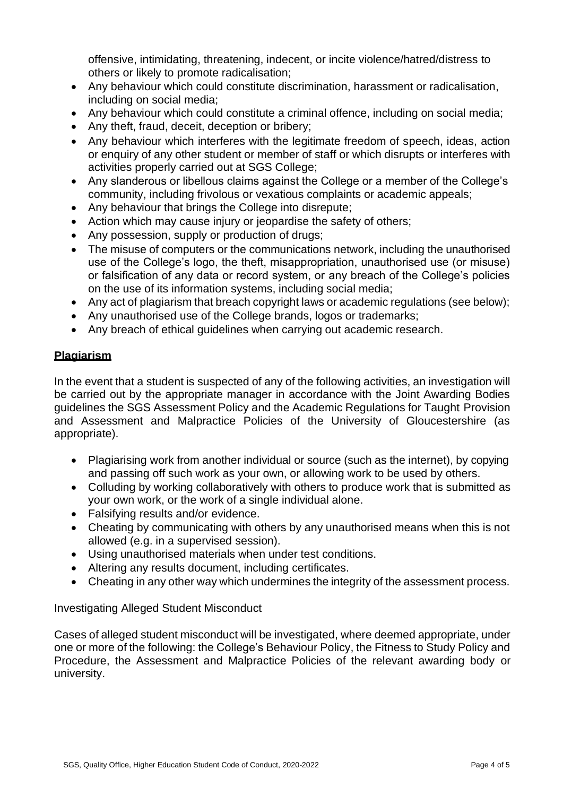offensive, intimidating, threatening, indecent, or incite violence/hatred/distress to others or likely to promote radicalisation;

- Any behaviour which could constitute discrimination, harassment or radicalisation, including on social media;
- Any behaviour which could constitute a criminal offence, including on social media;
- Any theft, fraud, deceit, deception or bribery;
- Any behaviour which interferes with the legitimate freedom of speech, ideas, action or enquiry of any other student or member of staff or which disrupts or interferes with activities properly carried out at SGS College;
- Any slanderous or libellous claims against the College or a member of the College's community, including frivolous or vexatious complaints or academic appeals;
- Any behaviour that brings the College into disrepute;
- Action which may cause injury or jeopardise the safety of others;
- Any possession, supply or production of drugs;
- The misuse of computers or the communications network, including the unauthorised use of the College's logo, the theft, misappropriation, unauthorised use (or misuse) or falsification of any data or record system, or any breach of the College's policies on the use of its information systems, including social media;
- Any act of plagiarism that breach copyright laws or academic regulations (see below);
- Any unauthorised use of the College brands, logos or trademarks;
- Any breach of ethical guidelines when carrying out academic research.

## **Plagiarism**

In the event that a student is suspected of any of the following activities, an investigation will be carried out by the appropriate manager in accordance with the Joint Awarding Bodies guidelines the SGS Assessment Policy and the Academic Regulations for Taught Provision and Assessment and Malpractice Policies of the University of Gloucestershire (as appropriate).

- Plagiarising work from another individual or source (such as the internet), by copying and passing off such work as your own, or allowing work to be used by others.
- Colluding by working collaboratively with others to produce work that is submitted as your own work, or the work of a single individual alone.
- Falsifying results and/or evidence.
- Cheating by communicating with others by any unauthorised means when this is not allowed (e.g. in a supervised session).
- Using unauthorised materials when under test conditions.
- Altering any results document, including certificates.
- Cheating in any other way which undermines the integrity of the assessment process.

#### Investigating Alleged Student Misconduct

Cases of alleged student misconduct will be investigated, where deemed appropriate, under one or more of the following: the College's Behaviour Policy, the Fitness to Study Policy and Procedure, the Assessment and Malpractice Policies of the relevant awarding body or university.